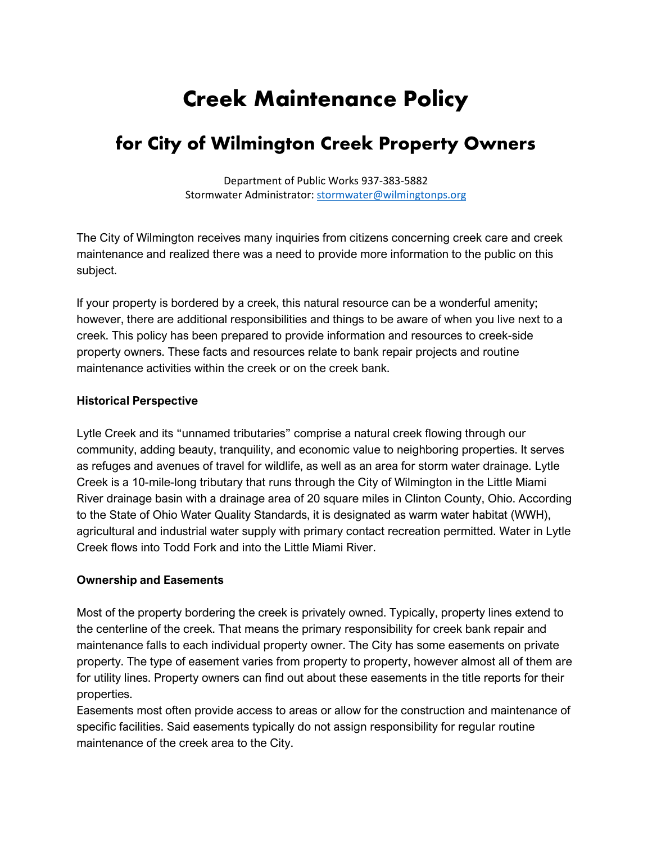# **Creek Maintenance Policy**

## **for City of Wilmington Creek Property Owners**

Department of Public Works 937-383-5882 Stormwater Administrator[: stormwater@wilmingtonps.org](mailto:stormwater@wilmingtonps.org)

The City of Wilmington receives many inquiries from citizens concerning creek care and creek maintenance and realized there was a need to provide more information to the public on this subject.

If your property is bordered by a creek, this natural resource can be a wonderful amenity; however, there are additional responsibilities and things to be aware of when you live next to a creek. This policy has been prepared to provide information and resources to creek-side property owners. These facts and resources relate to bank repair projects and routine maintenance activities within the creek or on the creek bank.

#### **Historical Perspective**

Lytle Creek and its "unnamed tributaries" comprise a natural creek flowing through our community, adding beauty, tranquility, and economic value to neighboring properties. It serves as refuges and avenues of travel for wildlife, as well as an area for storm water drainage. Lytle Creek is a 10-mile-long tributary that runs through the City of Wilmington in the Little Miami River drainage basin with a drainage area of 20 square miles in Clinton County, Ohio. According to the State of Ohio Water Quality Standards, it is designated as warm water habitat (WWH), agricultural and industrial water supply with primary contact recreation permitted. Water in Lytle Creek flows into Todd Fork and into the Little Miami River.

#### **Ownership and Easements**

Most of the property bordering the creek is privately owned. Typically, property lines extend to the centerline of the creek. That means the primary responsibility for creek bank repair and maintenance falls to each individual property owner. The City has some easements on private property. The type of easement varies from property to property, however almost all of them are for utility lines. Property owners can find out about these easements in the title reports for their properties.

Easements most often provide access to areas or allow for the construction and maintenance of specific facilities. Said easements typically do not assign responsibility for regular routine maintenance of the creek area to the City.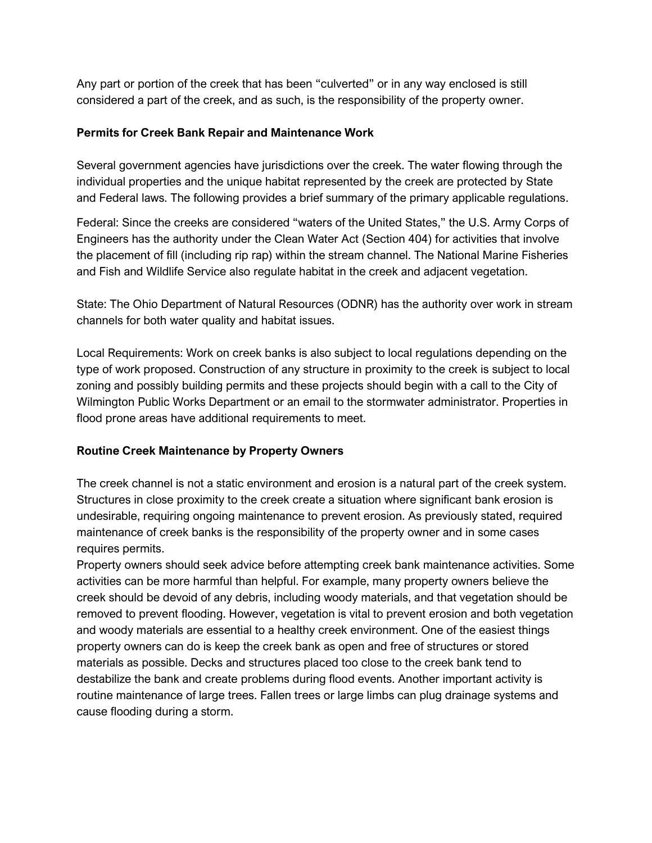Any part or portion of the creek that has been "culverted" or in any way enclosed is still considered a part of the creek, and as such, is the responsibility of the property owner.

#### **Permits for Creek Bank Repair and Maintenance Work**

Several government agencies have jurisdictions over the creek. The water flowing through the individual properties and the unique habitat represented by the creek are protected by State and Federal laws. The following provides a brief summary of the primary applicable regulations.

Federal: Since the creeks are considered "waters of the United States," the U.S. Army Corps of Engineers has the authority under the Clean Water Act (Section 404) for activities that involve the placement of fill (including rip rap) within the stream channel. The National Marine Fisheries and Fish and Wildlife Service also regulate habitat in the creek and adjacent vegetation.

State: The Ohio Department of Natural Resources (ODNR) has the authority over work in stream channels for both water quality and habitat issues.

Local Requirements: Work on creek banks is also subject to local regulations depending on the type of work proposed. Construction of any structure in proximity to the creek is subject to local zoning and possibly building permits and these projects should begin with a call to the City of Wilmington Public Works Department or an email to the stormwater administrator. Properties in flood prone areas have additional requirements to meet.

### **Routine Creek Maintenance by Property Owners**

The creek channel is not a static environment and erosion is a natural part of the creek system. Structures in close proximity to the creek create a situation where significant bank erosion is undesirable, requiring ongoing maintenance to prevent erosion. As previously stated, required maintenance of creek banks is the responsibility of the property owner and in some cases requires permits.

Property owners should seek advice before attempting creek bank maintenance activities. Some activities can be more harmful than helpful. For example, many property owners believe the creek should be devoid of any debris, including woody materials, and that vegetation should be removed to prevent flooding. However, vegetation is vital to prevent erosion and both vegetation and woody materials are essential to a healthy creek environment. One of the easiest things property owners can do is keep the creek bank as open and free of structures or stored materials as possible. Decks and structures placed too close to the creek bank tend to destabilize the bank and create problems during flood events. Another important activity is routine maintenance of large trees. Fallen trees or large limbs can plug drainage systems and cause flooding during a storm.